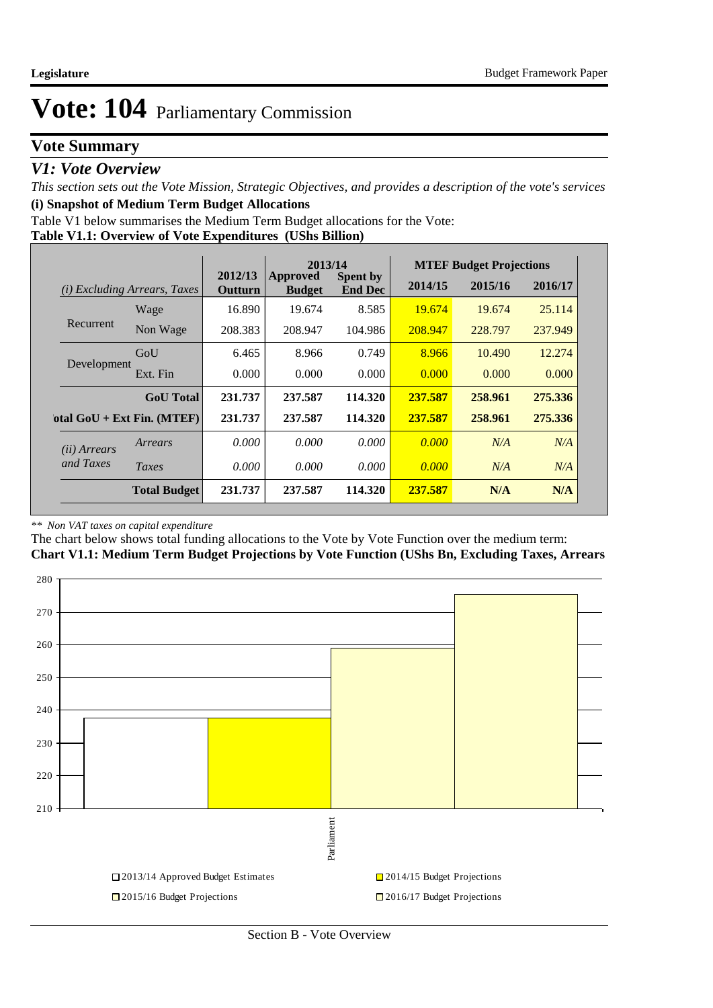## **Vote Summary**

### *V1: Vote Overview*

*This section sets out the Vote Mission, Strategic Objectives, and provides a description of the vote's services* **(i) Snapshot of Medium Term Budget Allocations** 

Table V1 below summarises the Medium Term Budget allocations for the Vote:

#### **Table V1.1: Overview of Vote Expenditures (UShs Billion)**

|                                        |                              |                    | 2013/14                          |                                   |         | <b>MTEF Budget Projections</b> |         |
|----------------------------------------|------------------------------|--------------------|----------------------------------|-----------------------------------|---------|--------------------------------|---------|
| <i>Excluding Arrears, Taxes</i><br>(i) |                              | 2012/13<br>Outturn | <b>Approved</b><br><b>Budget</b> | <b>Spent by</b><br><b>End Dec</b> | 2014/15 | 2015/16                        | 2016/17 |
|                                        | Wage                         | 16.890             | 19.674                           | 8.585                             | 19.674  | 19.674                         | 25.114  |
| Recurrent                              | Non Wage                     | 208.383            | 208.947                          | 104.986                           | 208.947 | 228.797                        | 237.949 |
|                                        | GoU                          | 6.465              | 8.966                            | 0.749                             | 8.966   | 10.490                         | 12.274  |
| Development                            | Ext. Fin                     | 0.000              | 0.000                            | 0.000                             | 0.000   | 0.000                          | 0.000   |
|                                        | <b>GoU</b> Total             | 231.737            | 237.587                          | 114.320                           | 237.587 | 258.961                        | 275.336 |
|                                        | otal $GoU + Ext Fin. (MTEF)$ | 231.737            | 237.587                          | 114.320                           | 237.587 | 258.961                        | 275.336 |
| ( <i>ii</i> ) Arrears                  | Arrears                      | 0.000              | 0.000                            | 0.000                             | 0.000   | N/A                            | N/A     |
| and Taxes                              | Taxes                        | 0.000              | 0.000                            | 0.000                             | 0.000   | N/A                            | N/A     |
|                                        | <b>Total Budget</b>          | 231.737            | 237.587                          | 114.320                           | 237.587 | N/A                            | N/A     |

#### *\*\* Non VAT taxes on capital expenditure*

The chart below shows total funding allocations to the Vote by Vote Function over the medium term: **Chart V1.1: Medium Term Budget Projections by Vote Function (UShs Bn, Excluding Taxes, Arrears**

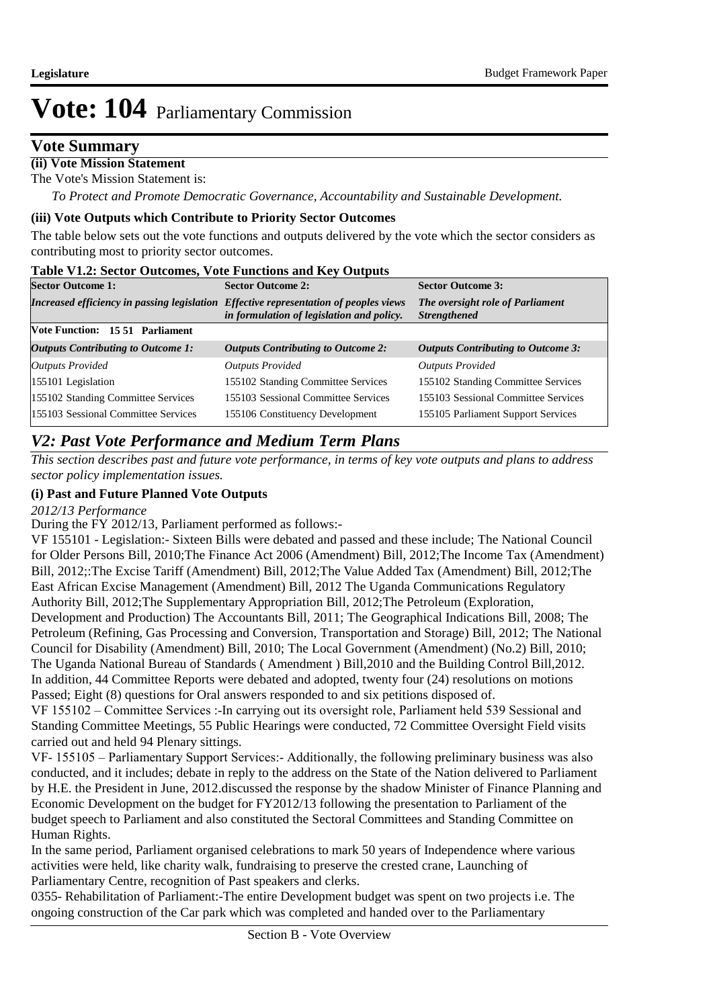### **Vote Summary**

### **(ii) Vote Mission Statement**

The Vote's Mission Statement is:

*To Protect and Promote Democratic Governance, Accountability and Sustainable Development.*

#### **(iii) Vote Outputs which Contribute to Priority Sector Outcomes**

The table below sets out the vote functions and outputs delivered by the vote which the sector considers as contributing most to priority sector outcomes.

#### **Table V1.2: Sector Outcomes, Vote Functions and Key Outputs**

|                                                                                       | $\frac{1}{2}$ and $\frac{1}{2}$ and $\frac{1}{2}$ . The contract of $\frac{1}{2}$ and $\frac{1}{2}$ and $\frac{1}{2}$ and $\frac{1}{2}$ and $\frac{1}{2}$ |                                                         |  |  |  |  |  |  |  |
|---------------------------------------------------------------------------------------|-----------------------------------------------------------------------------------------------------------------------------------------------------------|---------------------------------------------------------|--|--|--|--|--|--|--|
| <b>Sector Outcome 1:</b>                                                              | <b>Sector Outcome 2:</b>                                                                                                                                  | <b>Sector Outcome 3:</b>                                |  |  |  |  |  |  |  |
| Increased efficiency in passing legislation Effective representation of peoples views | in formulation of legislation and policy.                                                                                                                 | The oversight role of Parliament<br><b>Strengthened</b> |  |  |  |  |  |  |  |
| <b>Note Function: 15.51 Parliament</b>                                                |                                                                                                                                                           |                                                         |  |  |  |  |  |  |  |
| <b>Outputs Contributing to Outcome 1:</b>                                             | <b>Outputs Contributing to Outcome 2:</b>                                                                                                                 | <b>Outputs Contributing to Outcome 3:</b>               |  |  |  |  |  |  |  |
| <b>Outputs Provided</b>                                                               | <b>Outputs Provided</b>                                                                                                                                   | <b>Outputs Provided</b>                                 |  |  |  |  |  |  |  |
| 155101 Legislation                                                                    | 155102 Standing Committee Services                                                                                                                        | 155102 Standing Committee Services                      |  |  |  |  |  |  |  |
| 155102 Standing Committee Services                                                    | 155103 Sessional Committee Services                                                                                                                       | 155103 Sessional Committee Services                     |  |  |  |  |  |  |  |
| 155103 Sessional Committee Services                                                   | 155106 Constituency Development                                                                                                                           | 155105 Parliament Support Services                      |  |  |  |  |  |  |  |

### *V2: Past Vote Performance and Medium Term Plans*

*This section describes past and future vote performance, in terms of key vote outputs and plans to address sector policy implementation issues.* 

#### **(i) Past and Future Planned Vote Outputs**

*2012/13 Performance*

During the FY 2012/13, Parliament performed as follows:-

VF 155101 - Legislation:- Sixteen Bills were debated and passed and these include; The National Council for Older Persons Bill, 2010;The Finance Act 2006 (Amendment) Bill, 2012;The Income Tax (Amendment) Bill, 2012; The Excise Tariff (Amendment) Bill, 2012; The Value Added Tax (Amendment) Bill, 2012; The East African Excise Management (Amendment) Bill, 2012 The Uganda Communications Regulatory Authority Bill, 2012; The Supplementary Appropriation Bill, 2012; The Petroleum (Exploration, Development and Production) The Accountants Bill, 2011; The Geographical Indications Bill, 2008; The Petroleum (Refining, Gas Processing and Conversion, Transportation and Storage) Bill, 2012; The National Council for Disability (Amendment) Bill, 2010; The Local Government (Amendment) (No.2) Bill, 2010; The Uganda National Bureau of Standards ( Amendment ) Bill,2010 and the Building Control Bill,2012. In addition, 44 Committee Reports were debated and adopted, twenty four (24) resolutions on motions Passed; Eight (8) questions for Oral answers responded to and six petitions disposed of.

VF 155102 – Committee Services :-In carrying out its oversight role, Parliament held 539 Sessional and Standing Committee Meetings, 55 Public Hearings were conducted, 72 Committee Oversight Field visits carried out and held 94 Plenary sittings.

VF- 155105 – Parliamentary Support Services:- Additionally, the following preliminary business was also conducted, and it includes; debate in reply to the address on the State of the Nation delivered to Parliament by H.E. the President in June, 2012.discussed the response by the shadow Minister of Finance Planning and Economic Development on the budget for FY2012/13 following the presentation to Parliament of the budget speech to Parliament and also constituted the Sectoral Committees and Standing Committee on Human Rights.

In the same period, Parliament organised celebrations to mark 50 years of Independence where various activities were held, like charity walk, fundraising to preserve the crested crane, Launching of Parliamentary Centre, recognition of Past speakers and clerks.

0355- Rehabilitation of Parliament:-The entire Development budget was spent on two projects i.e. The ongoing construction of the Car park which was completed and handed over to the Parliamentary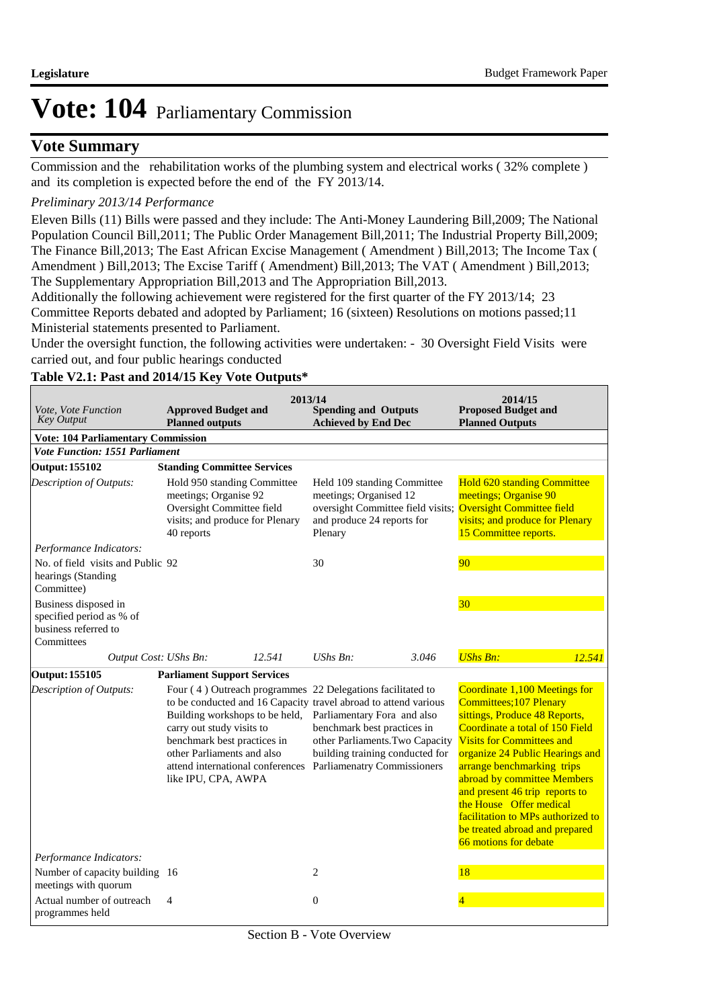### **Vote Summary**

Commission and the rehabilitation works of the plumbing system and electrical works ( 32% complete ) and its completion is expected before the end of the FY 2013/14.

#### *Preliminary 2013/14 Performance*

Eleven Bills (11) Bills were passed and they include: The Anti-Money Laundering Bill,2009; The National Population Council Bill,2011; The Public Order Management Bill,2011; The Industrial Property Bill,2009; The Finance Bill,2013; The East African Excise Management ( Amendment ) Bill,2013; The Income Tax ( Amendment ) Bill,2013; The Excise Tariff ( Amendment) Bill,2013; The VAT ( Amendment ) Bill,2013; The Supplementary Appropriation Bill,2013 and The Appropriation Bill,2013.

Additionally the following achievement were registered for the first quarter of the FY 2013/14; 23 Committee Reports debated and adopted by Parliament; 16 (sixteen) Resolutions on motions passed;11 Ministerial statements presented to Parliament.

Under the oversight function, the following activities were undertaken: - 30 Oversight Field Visits were carried out, and four public hearings conducted

#### **Table V2.1: Past and 2014/15 Key Vote Outputs\***

| <i>Vote, Vote Function</i><br><b>Key Output</b><br><b>Vote: 104 Parliamentary Commission</b> | <b>Approved Budget and</b><br><b>Planned outputs</b>                                                                                                                                                                                                                                                                 | 2013/14<br><b>Spending and Outputs</b><br><b>Achieved by End Dec</b>                                                                                                   | 2014/15<br><b>Proposed Budget and</b><br><b>Planned Outputs</b>                                                                                                                                                                                                                                                                                                                                                                      |
|----------------------------------------------------------------------------------------------|----------------------------------------------------------------------------------------------------------------------------------------------------------------------------------------------------------------------------------------------------------------------------------------------------------------------|------------------------------------------------------------------------------------------------------------------------------------------------------------------------|--------------------------------------------------------------------------------------------------------------------------------------------------------------------------------------------------------------------------------------------------------------------------------------------------------------------------------------------------------------------------------------------------------------------------------------|
| <b>Vote Function: 1551 Parliament</b>                                                        |                                                                                                                                                                                                                                                                                                                      |                                                                                                                                                                        |                                                                                                                                                                                                                                                                                                                                                                                                                                      |
| <b>Output: 155102</b>                                                                        | <b>Standing Committee Services</b>                                                                                                                                                                                                                                                                                   |                                                                                                                                                                        |                                                                                                                                                                                                                                                                                                                                                                                                                                      |
| Description of Outputs:                                                                      | Hold 950 standing Committee<br>meetings; Organise 92<br>Oversight Committee field<br>visits; and produce for Plenary<br>40 reports                                                                                                                                                                                   | Held 109 standing Committee<br>meetings; Organised 12<br>oversight Committee field visits;<br>and produce 24 reports for<br>Plenary                                    | <b>Hold 620 standing Committee</b><br>meetings; Organise 90<br><b>Oversight Committee field</b><br>visits; and produce for Plenary<br>15 Committee reports.                                                                                                                                                                                                                                                                          |
| Performance Indicators:                                                                      |                                                                                                                                                                                                                                                                                                                      |                                                                                                                                                                        |                                                                                                                                                                                                                                                                                                                                                                                                                                      |
| No. of field visits and Public 92<br>hearings (Standing<br>Committee)                        |                                                                                                                                                                                                                                                                                                                      | 30                                                                                                                                                                     | 90                                                                                                                                                                                                                                                                                                                                                                                                                                   |
| Business disposed in<br>specified period as % of<br>business referred to<br>Committees       |                                                                                                                                                                                                                                                                                                                      |                                                                                                                                                                        | 30 <sup>°</sup>                                                                                                                                                                                                                                                                                                                                                                                                                      |
| Output Cost: UShs Bn:                                                                        | 12.541                                                                                                                                                                                                                                                                                                               | UShs Bn:<br>3.046                                                                                                                                                      | <b>UShs Bn:</b><br>12.541                                                                                                                                                                                                                                                                                                                                                                                                            |
| Output: 155105                                                                               | <b>Parliament Support Services</b>                                                                                                                                                                                                                                                                                   |                                                                                                                                                                        |                                                                                                                                                                                                                                                                                                                                                                                                                                      |
| Description of Outputs:<br>Performance Indicators:                                           | Four (4) Outreach programmes 22 Delegations facilitated to<br>to be conducted and 16 Capacity travel abroad to attend various<br>Building workshops to be held,<br>carry out study visits to<br>benchmark best practices in<br>other Parliaments and also<br>attend international conferences<br>like IPU, CPA, AWPA | Parliamentary Fora and also<br>benchmark best practices in<br>other Parliaments. Two Capacity<br>building training conducted for<br><b>Parliamenatry Commissioners</b> | Coordinate 1,100 Meetings for<br><b>Committees; 107 Plenary</b><br>sittings, Produce 48 Reports,<br>Coordinate a total of 150 Field<br><b>Visits for Committees and</b><br>organize 24 Public Hearings and<br>arrange benchmarking trips<br>abroad by committee Members<br>and present 46 trip reports to<br>the House Offer medical<br>facilitation to MPs authorized to<br>be treated abroad and prepared<br>66 motions for debate |
| Number of capacity building 16                                                               |                                                                                                                                                                                                                                                                                                                      | 2                                                                                                                                                                      | 18                                                                                                                                                                                                                                                                                                                                                                                                                                   |
| meetings with quorum                                                                         |                                                                                                                                                                                                                                                                                                                      |                                                                                                                                                                        |                                                                                                                                                                                                                                                                                                                                                                                                                                      |
| Actual number of outreach<br>programmes held                                                 | 4                                                                                                                                                                                                                                                                                                                    | $\mathbf{0}$                                                                                                                                                           |                                                                                                                                                                                                                                                                                                                                                                                                                                      |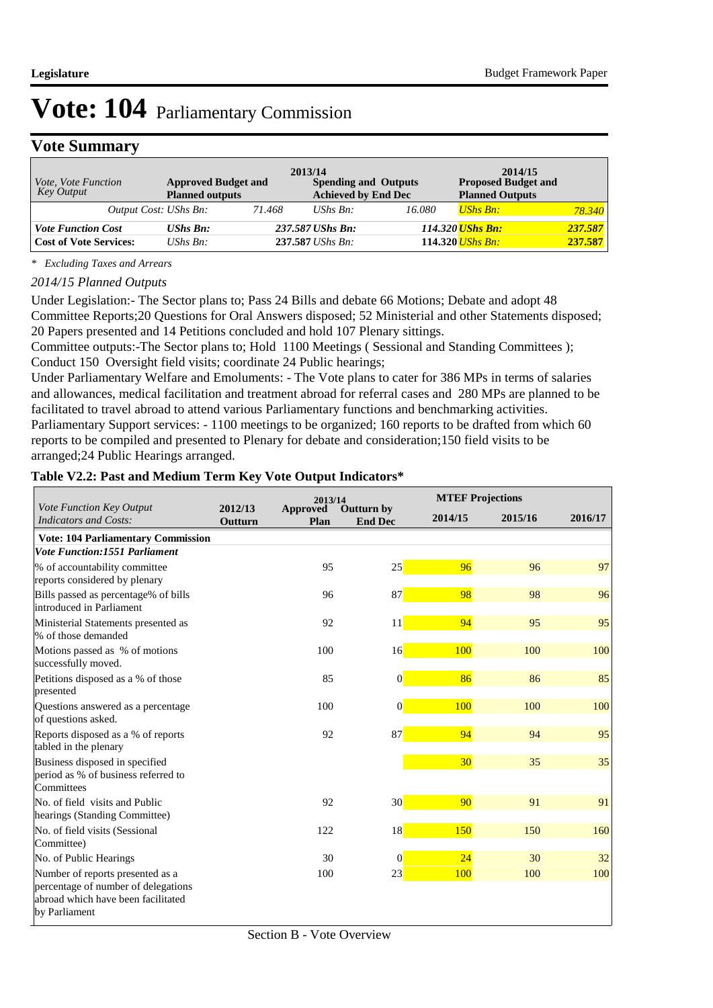## **Vote Summary**

| Vote, Vote Function<br>Key Output | <b>Approved Budget and</b><br><b>Planned outputs</b> | 2013/14 | <b>Spending and Outputs</b><br><b>Achieved by End Dec</b> |        | 2014/15<br><b>Proposed Budget and</b><br><b>Planned Outputs</b> |         |
|-----------------------------------|------------------------------------------------------|---------|-----------------------------------------------------------|--------|-----------------------------------------------------------------|---------|
| Output Cost: UShs Bn:             |                                                      | 71.468  | UShs $Bn$ :                                               | 16.080 | <b>UShs Bn:</b>                                                 | 78.340  |
| <b>Vote Function Cost</b>         | <b>UShs Bn:</b>                                      |         | 237.587 UShs Bn:                                          |        | 114.320 UShs Bn:                                                | 237.587 |
| <b>Cost of Vote Services:</b>     | UShs $Bn$ :                                          |         | 237.587 UShs Bn:                                          |        | $114.320$ <i>UShs Bn:</i>                                       | 237.587 |

*\* Excluding Taxes and Arrears*

#### *2014/15 Planned Outputs*

Under Legislation:- The Sector plans to; Pass 24 Bills and debate 66 Motions; Debate and adopt 48 Committee Reports;20 Questions for Oral Answers disposed; 52 Ministerial and other Statements disposed; 20 Papers presented and 14 Petitions concluded and hold 107 Plenary sittings.

Committee outputs:-The Sector plans to; Hold 1100 Meetings ( Sessional and Standing Committees ); Conduct 150 Oversight field visits; coordinate 24 Public hearings;

Under Parliamentary Welfare and Emoluments: - The Vote plans to cater for 386 MPs in terms of salaries and allowances, medical facilitation and treatment abroad for referral cases and 280 MPs are planned to be facilitated to travel abroad to attend various Parliamentary functions and benchmarking activities.

Parliamentary Support services: - 1100 meetings to be organized; 160 reports to be drafted from which 60 reports to be compiled and presented to Plenary for debate and consideration;150 field visits to be arranged;24 Public Hearings arranged.

#### **Table V2.2: Past and Medium Term Key Vote Output Indicators\***

| Vote Function Key Output                                                                                                       | 2012/13 | 2013/14                 |                              |         | <b>MTEF Projections</b> |         |
|--------------------------------------------------------------------------------------------------------------------------------|---------|-------------------------|------------------------------|---------|-------------------------|---------|
| <b>Indicators and Costs:</b>                                                                                                   | Outturn | <b>Approved</b><br>Plan | Outturn by<br><b>End Dec</b> | 2014/15 | 2015/16                 | 2016/17 |
| <b>Vote: 104 Parliamentary Commission</b>                                                                                      |         |                         |                              |         |                         |         |
| <b>Vote Function:1551 Parliament</b>                                                                                           |         |                         |                              |         |                         |         |
| % of accountability committee<br>reports considered by plenary                                                                 |         | 95                      | 25                           | 96      | 96                      | 97      |
| Bills passed as percentage% of bills<br>introduced in Parliament                                                               |         | 96                      | 87                           | 98      | 98                      | 96      |
| Ministerial Statements presented as<br>% of those demanded                                                                     |         | 92                      | 11                           | 94      | 95                      | 95      |
| Motions passed as % of motions<br>successfully moved.                                                                          |         | 100                     | 16                           | 100     | 100                     | 100     |
| Petitions disposed as a % of those<br>presented                                                                                |         | 85                      | $\vert 0 \vert$              | 86      | 86                      | 85      |
| Questions answered as a percentage<br>of questions asked.                                                                      |         | 100                     | $\vert 0 \vert$              | 100     | 100                     | 100     |
| Reports disposed as a % of reports<br>tabled in the plenary                                                                    |         | 92                      | 87                           | 94      | 94                      | 95      |
| Business disposed in specified<br>period as % of business referred to<br>Committees                                            |         |                         |                              | 30      | 35                      | 35      |
| No. of field visits and Public<br>hearings (Standing Committee)                                                                |         | 92                      | 30 <sup>°</sup>              | 90      | 91                      | 91      |
| No. of field visits (Sessional<br>Committee)                                                                                   |         | 122                     | 18                           | 150     | 150                     | 160     |
| No. of Public Hearings                                                                                                         |         | 30                      | $\vert 0 \vert$              | 24      | 30                      | 32      |
| Number of reports presented as a<br>percentage of number of delegations<br>abroad which have been facilitated<br>by Parliament |         | 100                     | 23                           | 100     | 100                     | 100     |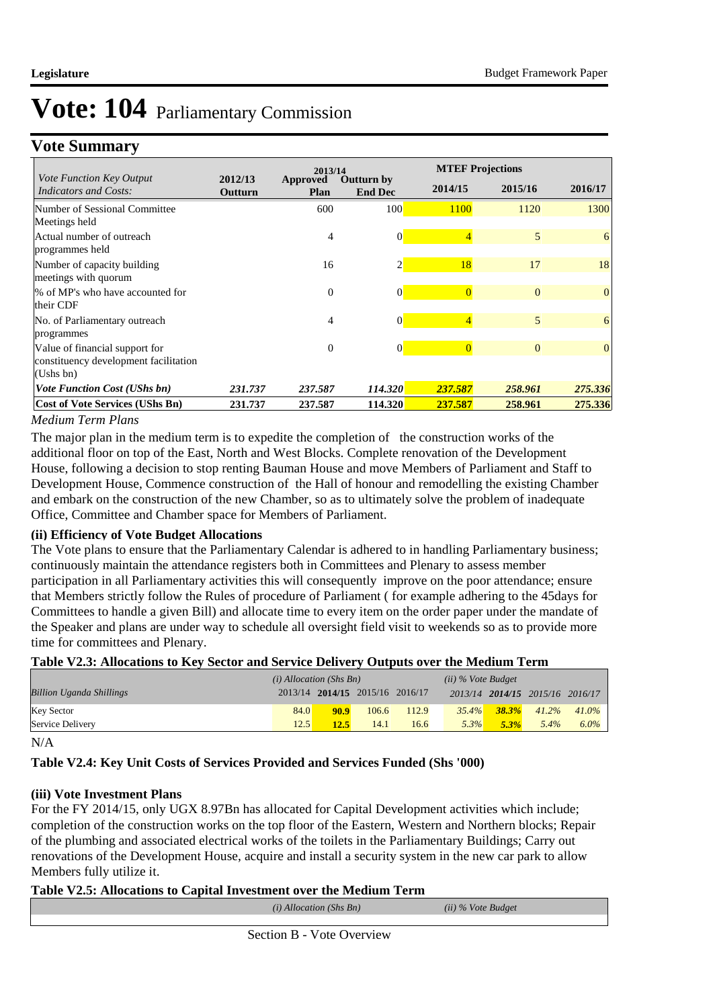## **Vote Summary**

|                                                                                      |                    | 2013/14                 |                                     |                | <b>MTEF Projections</b> |          |  |
|--------------------------------------------------------------------------------------|--------------------|-------------------------|-------------------------------------|----------------|-------------------------|----------|--|
| <i>Vote Function Key Output</i><br><b>Indicators and Costs:</b>                      | 2012/13<br>Outturn | <b>Approved</b><br>Plan | <b>Outturn by</b><br><b>End Dec</b> | 2014/15        | 2015/16                 | 2016/17  |  |
| Number of Sessional Committee<br>Meetings held                                       |                    | 600                     | 100                                 | 1100           | 1120                    | 1300     |  |
| Actual number of outreach<br>programmes held                                         |                    | 4                       | $\Omega$                            | 4              | 5                       | 6        |  |
| Number of capacity building<br>meetings with quorum                                  |                    | 16                      |                                     | 18             | 17                      | 18       |  |
| % of MP's who have accounted for<br>their CDF                                        |                    | $\mathbf{0}$            | 0                                   | $\overline{0}$ | $\Omega$                | $\Omega$ |  |
| No. of Parliamentary outreach<br>programmes                                          |                    | 4                       | $\mathbf{0}$                        | $\overline{4}$ | 5                       | 6        |  |
| Value of financial support for<br>constituency development facilitation<br>(Ushs bn) |                    | $\Omega$                | $\Omega$                            |                | $\Omega$                | $\Omega$ |  |
| <b>Vote Function Cost (UShs bn)</b>                                                  | 231.737            | 237.587                 | 114.320                             | 237.587        | 258.961                 | 275.336  |  |
| <b>Cost of Vote Services (UShs Bn)</b>                                               | 231.737            | 237.587                 | 114.320                             | 237.587        | 258.961                 | 275.336  |  |

#### *Medium Term Plans*

The major plan in the medium term is to expedite the completion of the construction works of the additional floor on top of the East, North and West Blocks. Complete renovation of the Development House, following a decision to stop renting Bauman House and move Members of Parliament and Staff to Development House, Commence construction of the Hall of honour and remodelling the existing Chamber and embark on the construction of the new Chamber, so as to ultimately solve the problem of inadequate Office, Committee and Chamber space for Members of Parliament.

#### **(ii) Efficiency of Vote Budget Allocations**

The Vote plans to ensure that the Parliamentary Calendar is adhered to in handling Parliamentary business; continuously maintain the attendance registers both in Committees and Plenary to assess member participation in all Parliamentary activities this will consequently improve on the poor attendance; ensure that Members strictly follow the Rules of procedure of Parliament ( for example adhering to the 45days for Committees to handle a given Bill) and allocate time to every item on the order paper under the mandate of the Speaker and plans are under way to schedule all oversight field visit to weekends so as to provide more time for committees and Plenary.

#### **Table V2.3: Allocations to Key Sector and Service Delivery Outputs over the Medium Term**

| $-$ , $-$ , $-$ , $-$ , $-$ , $-$ , $-$ , $-$ , $-$ , $-$ , $-$ , $-$ , $-$ , $-$ , $-$ , $-$ , $-$ , $-$ , $-$ , $-$ , $-$ , $-$ , $-$ , $-$ , $-$ , $-$ , $-$ , $-$ , $-$ , $-$ , $-$ , $-$ , $-$ , $-$ , $-$ , $-$ , $-$ , |                           |      |                                 |       |                      |           |                                 |          |
|-------------------------------------------------------------------------------------------------------------------------------------------------------------------------------------------------------------------------------|---------------------------|------|---------------------------------|-------|----------------------|-----------|---------------------------------|----------|
|                                                                                                                                                                                                                               | $(i)$ Allocation (Shs Bn) |      |                                 |       | $(ii)$ % Vote Budget |           |                                 |          |
| <b>Billion Uganda Shillings</b>                                                                                                                                                                                               |                           |      | 2013/14 2014/15 2015/16 2016/17 |       |                      |           | 2013/14 2014/15 2015/16 2016/17 |          |
| <b>Key Sector</b>                                                                                                                                                                                                             | 84.0                      | 90.9 | 106.6                           | 112.9 | 35.4%                | $-38.3\%$ | 41.2%                           | $41.0\%$ |
| Service Delivery                                                                                                                                                                                                              | 12.5                      | 12.5 | 14.1                            | 16.6  | $5.3\%$              | 5.3%      | $5.4\%$                         | $6.0\%$  |

N/A

#### **Table V2.4: Key Unit Costs of Services Provided and Services Funded (Shs '000)**

#### **(iii) Vote Investment Plans**

For the FY 2014/15, only UGX 8.97Bn has allocated for Capital Development activities which include; completion of the construction works on the top floor of the Eastern, Western and Northern blocks; Repair of the plumbing and associated electrical works of the toilets in the Parliamentary Buildings; Carry out renovations of the Development House, acquire and install a security system in the new car park to allow Members fully utilize it.

#### **Table V2.5: Allocations to Capital Investment over the Medium Term**

| $(i)$ Allocation (Shs Bn) | (ii) % Vote Budget |  |
|---------------------------|--------------------|--|
|                           |                    |  |

Section B - Vote Overview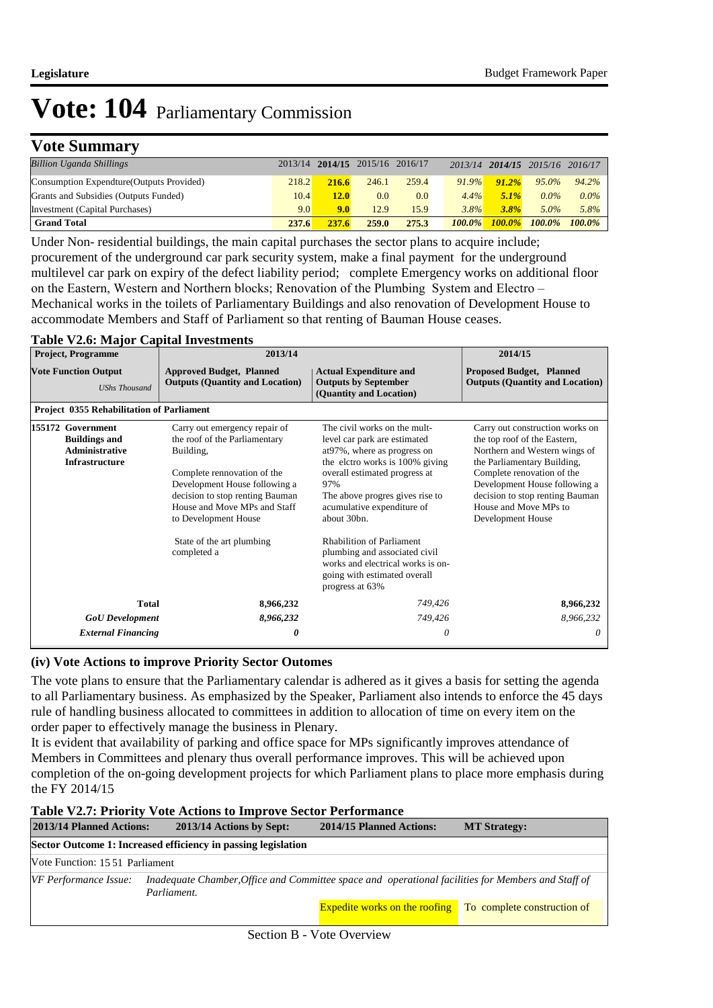## **Vote Summary**

| <b>Billion Uganda Shillings</b>           |       |             | 2013/14 2014/15 2015/16 2016/17 |       |           |           | 2013/14 2014/15 2015/16 2016/17 |           |
|-------------------------------------------|-------|-------------|---------------------------------|-------|-----------|-----------|---------------------------------|-----------|
| Consumption Expendture (Outputs Provided) | 218.2 | 216.6       | 246.1                           | 259.4 | $91.9\%$  | $91.2\%$  | 95.0%                           | 94.2%     |
| Grants and Subsidies (Outputs Funded)     | 10.4  | <b>12.0</b> | 0.0                             | 0.0   | $4.4\%$   | $5.1\%$   | $0.0\%$                         | $0.0\%$   |
| Investment (Capital Purchases)            | 9.0   | 9.0         | 12.9                            | 15.9  | 3.8%      | 3.8%      | $5.0\%$                         | 5.8%      |
| <b>Grand Total</b>                        | 237.6 | 237.6       | 259.0                           | 275.3 | $100.0\%$ | $100.0\%$ | $100.0\%$                       | $100.0\%$ |

Under Non- residential buildings, the main capital purchases the sector plans to acquire include; procurement of the underground car park security system, make a final payment for the underground multilevel car park on expiry of the defect liability period; complete Emergency works on additional floor on the Eastern, Western and Northern blocks; Renovation of the Plumbing System and Electro – Mechanical works in the toilets of Parliamentary Buildings and also renovation of Development House to accommodate Members and Staff of Parliament so that renting of Bauman House ceases.

#### **Table V2.6: Major Capital Investments**

| <b>Project, Programme</b>                                                                   | 2013/14                                                                                                                                                                                                                                                                            | 2014/15                                                                                                                                                                                                                                                                                                                                                                                                             |                                                                                                                                                                                                                                                                                 |
|---------------------------------------------------------------------------------------------|------------------------------------------------------------------------------------------------------------------------------------------------------------------------------------------------------------------------------------------------------------------------------------|---------------------------------------------------------------------------------------------------------------------------------------------------------------------------------------------------------------------------------------------------------------------------------------------------------------------------------------------------------------------------------------------------------------------|---------------------------------------------------------------------------------------------------------------------------------------------------------------------------------------------------------------------------------------------------------------------------------|
| <b>Vote Function Output</b><br><b>UShs Thousand</b>                                         | <b>Approved Budget, Planned</b><br><b>Outputs (Quantity and Location)</b>                                                                                                                                                                                                          | <b>Actual Expenditure and</b><br><b>Outputs by September</b><br>(Quantity and Location)                                                                                                                                                                                                                                                                                                                             | <b>Proposed Budget, Planned</b><br><b>Outputs (Quantity and Location)</b>                                                                                                                                                                                                       |
| <b>Project 0355 Rehabilitation of Parliament</b>                                            |                                                                                                                                                                                                                                                                                    |                                                                                                                                                                                                                                                                                                                                                                                                                     |                                                                                                                                                                                                                                                                                 |
| 155172 Government<br><b>Buildings and</b><br><b>Administrative</b><br><b>Infrastructure</b> | Carry out emergency repair of<br>the roof of the Parliamentary<br>Building,<br>Complete rennovation of the<br>Development House following a<br>decision to stop renting Bauman<br>House and Move MPs and Staff<br>to Development House<br>State of the art plumbing<br>completed a | The civil works on the mult-<br>level car park are estimated<br>at97%, where as progress on<br>the elctro works is 100% giving<br>overall estimated progress at<br>97%<br>The above progres gives rise to<br>acumulative expenditure of<br>about 30bn.<br><b>Rhabilition of Parliament</b><br>plumbing and associated civil<br>works and electrical works is on-<br>going with estimated overall<br>progress at 63% | Carry out construction works on<br>the top roof of the Eastern,<br>Northern and Western wings of<br>the Parliamentary Building,<br>Complete renovation of the<br>Development House following a<br>decision to stop renting Bauman<br>House and Move MPs to<br>Development House |
| <b>Total</b>                                                                                | 8,966,232                                                                                                                                                                                                                                                                          | 749,426                                                                                                                                                                                                                                                                                                                                                                                                             | 8,966,232                                                                                                                                                                                                                                                                       |
| <b>GoU</b> Development                                                                      | 8,966,232                                                                                                                                                                                                                                                                          | 749,426                                                                                                                                                                                                                                                                                                                                                                                                             | 8,966,232                                                                                                                                                                                                                                                                       |
| <b>External Financing</b>                                                                   | 0                                                                                                                                                                                                                                                                                  | 0                                                                                                                                                                                                                                                                                                                                                                                                                   | 0                                                                                                                                                                                                                                                                               |

#### **(iv) Vote Actions to improve Priority Sector Outomes**

The vote plans to ensure that the Parliamentary calendar is adhered as it gives a basis for setting the agenda to all Parliamentary business. As emphasized by the Speaker, Parliament also intends to enforce the 45 days rule of handling business allocated to committees in addition to allocation of time on every item on the order paper to effectively manage the business in Plenary.

It is evident that availability of parking and office space for MPs significantly improves attendance of Members in Committees and plenary thus overall performance improves. This will be achieved upon completion of the on-going development projects for which Parliament plans to place more emphasis during the FY 2014/15

#### **Table V2.7: Priority Vote Actions to Improve Sector Performance**

| 2013/14 Planned Actions:       | 2013/14 Actions by Sept:                                      | 2014/15 Planned Actions:                                                                           | <b>MT Strategy:</b> |  |  |  |  |
|--------------------------------|---------------------------------------------------------------|----------------------------------------------------------------------------------------------------|---------------------|--|--|--|--|
|                                | Sector Outcome 1: Increased efficiency in passing legislation |                                                                                                    |                     |  |  |  |  |
| Vote Function: 1551 Parliament |                                                               |                                                                                                    |                     |  |  |  |  |
| VF Performance Issue:          | Parliament.                                                   | Inadequate Chamber, Office and Committee space and operational facilities for Members and Staff of |                     |  |  |  |  |
|                                |                                                               | <b>Expedite works on the roofing</b> To complete construction of                                   |                     |  |  |  |  |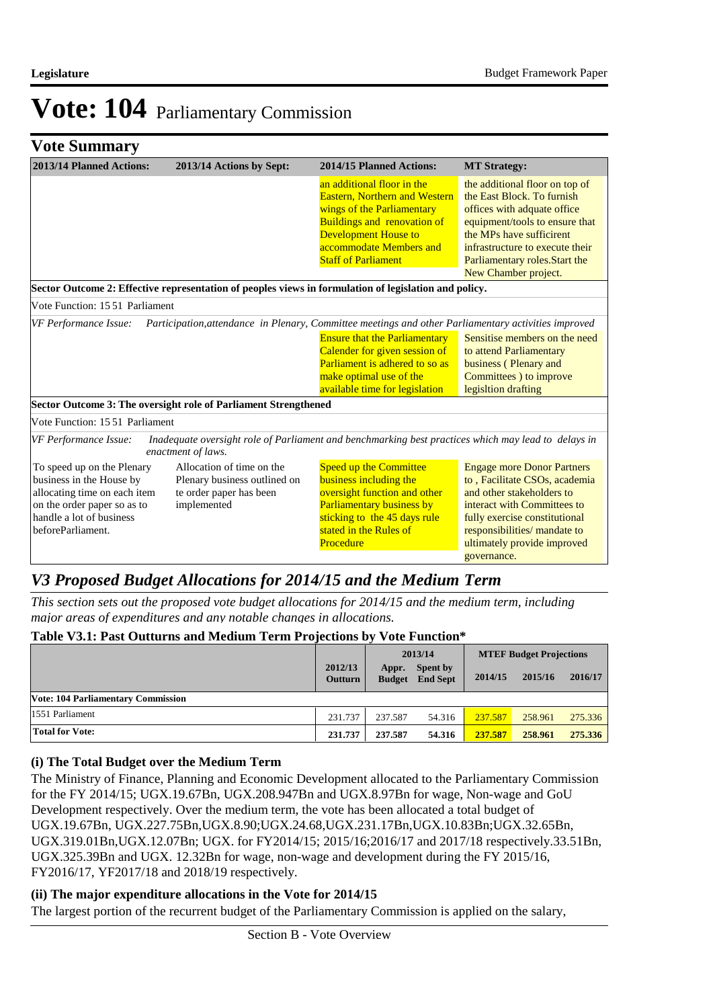|  | <b>Vote Summary</b> |  |
|--|---------------------|--|
|--|---------------------|--|

| 2013/14 Planned Actions:                                                                                                                                               | 2013/14 Actions by Sept:                                                                            | 2014/15 Planned Actions:                                                                                                                                                                                                       | <b>MT</b> Strategy:                                                                                                                                                                                                                                    |
|------------------------------------------------------------------------------------------------------------------------------------------------------------------------|-----------------------------------------------------------------------------------------------------|--------------------------------------------------------------------------------------------------------------------------------------------------------------------------------------------------------------------------------|--------------------------------------------------------------------------------------------------------------------------------------------------------------------------------------------------------------------------------------------------------|
|                                                                                                                                                                        |                                                                                                     | an additional floor in the<br><b>Eastern, Northern and Western</b><br>wings of the Parliamentary<br><b>Buildings and renovation of</b><br><b>Development House to</b><br>accommodate Members and<br><b>Staff of Parliament</b> | the additional floor on top of<br>the East Block. To furnish<br>offices with adquate office<br>equipment/tools to ensure that<br>the MPs have sufficirent<br>infrastructure to execute their<br>Parliamentary roles. Start the<br>New Chamber project. |
|                                                                                                                                                                        |                                                                                                     | Sector Outcome 2: Effective representation of peoples views in formulation of legislation and policy.                                                                                                                          |                                                                                                                                                                                                                                                        |
| Vote Function: 15 51 Parliament                                                                                                                                        |                                                                                                     |                                                                                                                                                                                                                                |                                                                                                                                                                                                                                                        |
| VF Performance Issue:                                                                                                                                                  |                                                                                                     | Participation, attendance in Plenary, Committee meetings and other Parliamentary activities improved                                                                                                                           |                                                                                                                                                                                                                                                        |
|                                                                                                                                                                        |                                                                                                     | <b>Ensure that the Parliamentary</b><br>Calender for given session of<br><b>Parliament is adhered to so as</b><br>make optimal use of the<br>available time for legislation                                                    | Sensitise members on the need<br>to attend Parliamentary<br>business (Plenary and<br>Committees ) to improve<br>legisltion drafting                                                                                                                    |
|                                                                                                                                                                        | Sector Outcome 3: The oversight role of Parliament Strengthened                                     |                                                                                                                                                                                                                                |                                                                                                                                                                                                                                                        |
| Vote Function: 15.51 Parliament                                                                                                                                        |                                                                                                     |                                                                                                                                                                                                                                |                                                                                                                                                                                                                                                        |
| VF Performance Issue:                                                                                                                                                  | enactment of laws.                                                                                  | Inadequate oversight role of Parliament and benchmarking best practices which may lead to delays in                                                                                                                            |                                                                                                                                                                                                                                                        |
| To speed up on the Plenary<br>business in the House by<br>allocating time on each item<br>on the order paper so as to<br>handle a lot of business<br>beforeParliament. | Allocation of time on the<br>Plenary business outlined on<br>te order paper has been<br>implemented | <b>Speed up the Committee</b><br>business including the<br>oversight function and other<br><b>Parliamentary business by</b><br>sticking to the 45 days rule<br>stated in the Rules of<br>Procedure                             | <b>Engage more Donor Partners</b><br>to, Facilitate CSOs, academia<br>and other stakeholders to<br>interact with Committees to<br>fully exercise constitutional<br>responsibilities/ mandate to<br>ultimately provide improved<br>governance.          |

## *V3 Proposed Budget Allocations for 2014/15 and the Medium Term*

*This section sets out the proposed vote budget allocations for 2014/15 and the medium term, including major areas of expenditures and any notable changes in allocations.* 

#### **Table V3.1: Past Outturns and Medium Term Projections by Vote Function\***

|                                           |                           | 2013/14                |                                    | <b>MTEF Budget Projections</b> |         |         |
|-------------------------------------------|---------------------------|------------------------|------------------------------------|--------------------------------|---------|---------|
|                                           | 2012/13<br><b>Outturn</b> | Appr.<br><b>Budget</b> | <b>Spent by</b><br><b>End Sept</b> | 2014/15                        | 2015/16 | 2016/17 |
| <b>Vote: 104 Parliamentary Commission</b> |                           |                        |                                    |                                |         |         |
| 1551 Parliament                           | 231.737                   | 237.587                | 54.316                             | 237.587                        | 258.961 | 275.336 |
| <b>Total for Vote:</b>                    | 231.737                   | 237.587                | 54.316                             | 237.587                        | 258.961 | 275.336 |

#### **(i) The Total Budget over the Medium Term**

The Ministry of Finance, Planning and Economic Development allocated to the Parliamentary Commission for the FY 2014/15; UGX.19.67Bn, UGX.208.947Bn and UGX.8.97Bn for wage, Non-wage and GoU Development respectively. Over the medium term, the vote has been allocated a total budget of UGX.19.67Bn, UGX.227.75Bn,UGX.8.90;UGX.24.68,UGX.231.17Bn,UGX.10.83Bn;UGX.32.65Bn, UGX.319.01Bn,UGX.12.07Bn; UGX. for FY2014/15; 2015/16;2016/17 and 2017/18 respectively.33.51Bn, UGX.325.39Bn and UGX. 12.32Bn for wage, non-wage and development during the FY 2015/16, FY2016/17, YF2017/18 and 2018/19 respectively.

#### **(ii) The major expenditure allocations in the Vote for 2014/15**

The largest portion of the recurrent budget of the Parliamentary Commission is applied on the salary,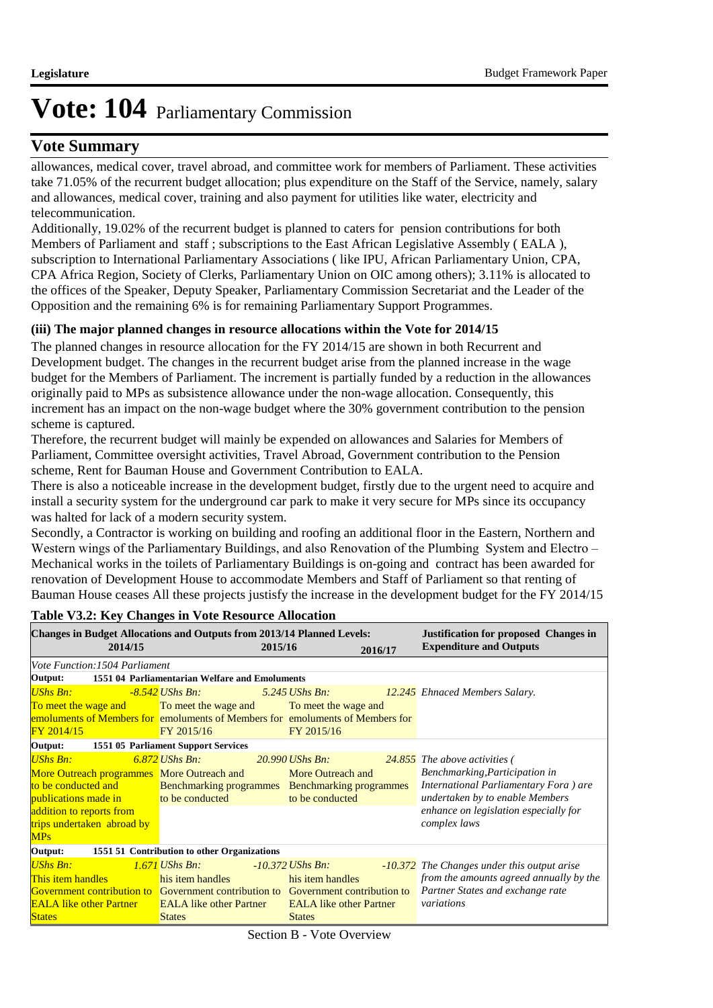### **Vote Summary**

allowances, medical cover, travel abroad, and committee work for members of Parliament. These activities take 71.05% of the recurrent budget allocation; plus expenditure on the Staff of the Service, namely, salary and allowances, medical cover, training and also payment for utilities like water, electricity and telecommunication.

Additionally, 19.02% of the recurrent budget is planned to caters for pension contributions for both Members of Parliament and staff ; subscriptions to the East African Legislative Assembly ( EALA ), subscription to International Parliamentary Associations ( like IPU, African Parliamentary Union, CPA, CPA Africa Region, Society of Clerks, Parliamentary Union on OIC among others); 3.11% is allocated to the offices of the Speaker, Deputy Speaker, Parliamentary Commission Secretariat and the Leader of the Opposition and the remaining 6% is for remaining Parliamentary Support Programmes.

#### **(iii) The major planned changes in resource allocations within the Vote for 2014/15**

The planned changes in resource allocation for the FY 2014/15 are shown in both Recurrent and Development budget. The changes in the recurrent budget arise from the planned increase in the wage budget for the Members of Parliament. The increment is partially funded by a reduction in the allowances originally paid to MPs as subsistence allowance under the non-wage allocation. Consequently, this increment has an impact on the non-wage budget where the 30% government contribution to the pension scheme is captured.

Therefore, the recurrent budget will mainly be expended on allowances and Salaries for Members of Parliament, Committee oversight activities, Travel Abroad, Government contribution to the Pension scheme, Rent for Bauman House and Government Contribution to EALA.

There is also a noticeable increase in the development budget, firstly due to the urgent need to acquire and install a security system for the underground car park to make it very secure for MPs since its occupancy was halted for lack of a modern security system.

Secondly, a Contractor is working on building and roofing an additional floor in the Eastern, Northern and Western wings of the Parliamentary Buildings, and also Renovation of the Plumbing System and Electro – Mechanical works in the toilets of Parliamentary Buildings is on-going and contract has been awarded for renovation of Development House to accommodate Members and Staff of Parliament so that renting of Bauman House ceases All these projects justisfy the increase in the development budget for the FY 2014/15

| <b>Changes in Budget Allocations and Outputs from 2013/14 Planned Levels:</b><br><b>Justification for proposed Changes in</b>                                                                    |                                                                                        |                                                                |                                |                                                                                                                                                                                                       |  |  |  |
|--------------------------------------------------------------------------------------------------------------------------------------------------------------------------------------------------|----------------------------------------------------------------------------------------|----------------------------------------------------------------|--------------------------------|-------------------------------------------------------------------------------------------------------------------------------------------------------------------------------------------------------|--|--|--|
| 2014/15                                                                                                                                                                                          |                                                                                        | 2015/16                                                        | 2016/17                        | <b>Expenditure and Outputs</b>                                                                                                                                                                        |  |  |  |
| Vote Function: 1504 Parliament                                                                                                                                                                   |                                                                                        |                                                                |                                |                                                                                                                                                                                                       |  |  |  |
| Output:                                                                                                                                                                                          | 1551 04 Parliamentarian Welfare and Emoluments                                         |                                                                |                                |                                                                                                                                                                                                       |  |  |  |
| UShs Bn:                                                                                                                                                                                         | -8.542 UShs Bn:                                                                        | 5.245 UShs Bn:                                                 |                                | 12.245 Ehnaced Members Salary.                                                                                                                                                                        |  |  |  |
| To meet the wage and To meet the wage and To meet the wage and                                                                                                                                   |                                                                                        |                                                                |                                |                                                                                                                                                                                                       |  |  |  |
| emoluments of Members for emoluments of Members for emoluments of Members for<br>FY 2014/15                                                                                                      | FY 2015/16                                                                             | FY 2015/16                                                     |                                |                                                                                                                                                                                                       |  |  |  |
| Output:                                                                                                                                                                                          | 1551 05 Parliament Support Services                                                    |                                                                |                                |                                                                                                                                                                                                       |  |  |  |
| <b>UShs Bn:</b><br>More Outreach programmes More Outreach and<br>to be conducted and<br>publications made in<br><b>Service Service</b><br>addition to reports from<br>trips undertaken abroad by | $6.872$ UShs Bn:<br>Benchmarking programmes Benchmarking programmes<br>to be conducted | <b>20.990 UShs Bn:</b><br>More Outreach and<br>to be conducted |                                | 24.855 The above activities (<br>Benchmarking, Participation in<br>International Parliamentary Fora ) are<br>undertaken by to enable Members<br>enhance on legislation especially for<br>complex laws |  |  |  |
| <b>MPs</b>                                                                                                                                                                                       |                                                                                        |                                                                |                                |                                                                                                                                                                                                       |  |  |  |
| Output:                                                                                                                                                                                          | 1551 51 Contribution to other Organizations                                            |                                                                |                                |                                                                                                                                                                                                       |  |  |  |
| <b>UShs Bn:</b><br>This item handles<br><b>Government contribution to</b> Government contribution to Government contribution to<br><b>EALA</b> like other Partner                                | 1.671 UShs Bn:<br>his item handles<br><b>EALA</b> like other Partner                   | -10.372 UShs Bn:<br>his item handles                           | <b>EALA</b> like other Partner | -10.372 The Changes under this output arise<br>from the amounts agreed annually by the<br>Partner States and exchange rate<br>variations                                                              |  |  |  |
| <b>States</b>                                                                                                                                                                                    | <b>States</b>                                                                          | <b>States</b>                                                  |                                |                                                                                                                                                                                                       |  |  |  |

#### **Table V3.2: Key Changes in Vote Resource Allocation**

Section B - Vote Overview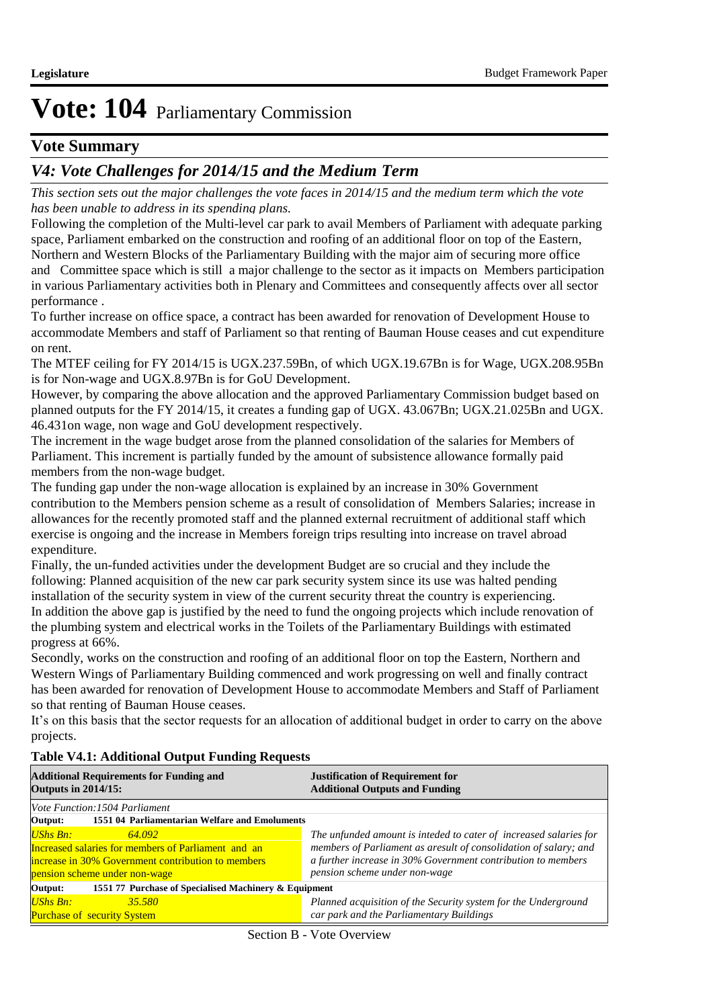### **Vote Summary**

## *V4: Vote Challenges for 2014/15 and the Medium Term*

*This section sets out the major challenges the vote faces in 2014/15 and the medium term which the vote has been unable to address in its spending plans.*

Following the completion of the Multi-level car park to avail Members of Parliament with adequate parking space, Parliament embarked on the construction and roofing of an additional floor on top of the Eastern, Northern and Western Blocks of the Parliamentary Building with the major aim of securing more office and Committee space which is still a major challenge to the sector as it impacts on Members participation in various Parliamentary activities both in Plenary and Committees and consequently affects over all sector performance .

To further increase on office space, a contract has been awarded for renovation of Development House to accommodate Members and staff of Parliament so that renting of Bauman House ceases and cut expenditure on rent.

The MTEF ceiling for FY 2014/15 is UGX.237.59Bn, of which UGX.19.67Bn is for Wage, UGX.208.95Bn is for Non-wage and UGX.8.97Bn is for GoU Development.

However, by comparing the above allocation and the approved Parliamentary Commission budget based on planned outputs for the FY 2014/15, it creates a funding gap of UGX. 43.067Bn; UGX.21.025Bn and UGX. 46.431on wage, non wage and GoU development respectively.

The increment in the wage budget arose from the planned consolidation of the salaries for Members of Parliament. This increment is partially funded by the amount of subsistence allowance formally paid members from the non-wage budget.

The funding gap under the non-wage allocation is explained by an increase in 30% Government contribution to the Members pension scheme as a result of consolidation of Members Salaries; increase in allowances for the recently promoted staff and the planned external recruitment of additional staff which exercise is ongoing and the increase in Members foreign trips resulting into increase on travel abroad expenditure.

Finally, the un-funded activities under the development Budget are so crucial and they include the following: Planned acquisition of the new car park security system since its use was halted pending installation of the security system in view of the current security threat the country is experiencing. In addition the above gap is justified by the need to fund the ongoing projects which include renovation of the plumbing system and electrical works in the Toilets of the Parliamentary Buildings with estimated progress at 66%.

Secondly, works on the construction and roofing of an additional floor on top the Eastern, Northern and Western Wings of Parliamentary Building commenced and work progressing on well and finally contract has been awarded for renovation of Development House to accommodate Members and Staff of Parliament so that renting of Bauman House ceases.

It's on this basis that the sector requests for an allocation of additional budget in order to carry on the above projects.

#### **Table V4.1: Additional Output Funding Requests**

| <b>Additional Requirements for Funding and</b><br><b>Outputs in 2014/15:</b>                                                                                            | <b>Justification of Requirement for</b><br><b>Additional Outputs and Funding</b>                                                                                                                                                       |  |  |
|-------------------------------------------------------------------------------------------------------------------------------------------------------------------------|----------------------------------------------------------------------------------------------------------------------------------------------------------------------------------------------------------------------------------------|--|--|
| <i>Vote Function:1504 Parliament</i>                                                                                                                                    |                                                                                                                                                                                                                                        |  |  |
| 1551 04 Parliamentarian Welfare and Emoluments<br>Output:                                                                                                               |                                                                                                                                                                                                                                        |  |  |
| <b>UShs Bn:</b><br>64.092<br>Increased salaries for members of Parliament and an<br>increase in 30% Government contribution to members<br>pension scheme under non-wage | The unfunded amount is inteded to cater of increased salaries for<br>members of Parliament as aresult of consolidation of salary; and<br>a further increase in 30% Government contribution to members<br>pension scheme under non-wage |  |  |
| 1551 77 Purchase of Specialised Machinery & Equipment<br>Output:                                                                                                        |                                                                                                                                                                                                                                        |  |  |
| UShs Bn:<br>35.580<br><b>Purchase of security System</b>                                                                                                                | Planned acquisition of the Security system for the Underground<br>car park and the Parliamentary Buildings                                                                                                                             |  |  |